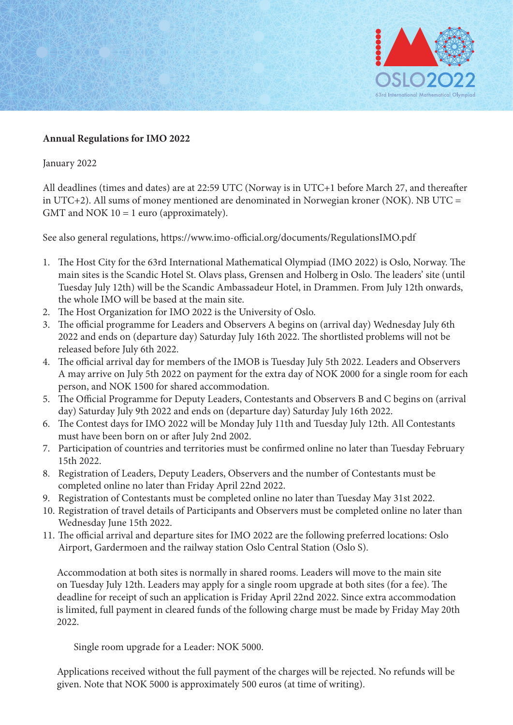

## **Annual Regulations for IMO 2022**

January 2022

All deadlines (times and dates) are at 22:59 UTC (Norway is in UTC+1 before March 27, and thereafter in UTC+2). All sums of money mentioned are denominated in Norwegian kroner (NOK). NB UTC = GMT and NOK  $10 = 1$  euro (approximately).

See also general regulations, https://www.imo-official.org/documents/RegulationsIMO.pdf

- 1. The Host City for the 63rd International Mathematical Olympiad (IMO 2022) is Oslo, Norway. The main sites is the Scandic Hotel St. Olavs plass, Grensen and Holberg in Oslo. The leaders' site (until Tuesday July 12th) will be the Scandic Ambassadeur Hotel, in Drammen. From July 12th onwards, the whole IMO will be based at the main site.
- 2. The Host Organization for IMO 2022 is the University of Oslo.
- 3. The official programme for Leaders and Observers A begins on (arrival day) Wednesday July 6th 2022 and ends on (departure day) Saturday July 16th 2022. The shortlisted problems will not be released before July 6th 2022.
- 4. The official arrival day for members of the IMOB is Tuesday July 5th 2022. Leaders and Observers A may arrive on July 5th 2022 on payment for the extra day of NOK 2000 for a single room for each person, and NOK 1500 for shared accommodation.
- 5. The Official Programme for Deputy Leaders, Contestants and Observers B and C begins on (arrival day) Saturday July 9th 2022 and ends on (departure day) Saturday July 16th 2022.
- 6. The Contest days for IMO 2022 will be Monday July 11th and Tuesday July 12th. All Contestants must have been born on or after July 2nd 2002.
- 7. Participation of countries and territories must be confirmed online no later than Tuesday February 15th 2022.
- 8. Registration of Leaders, Deputy Leaders, Observers and the number of Contestants must be completed online no later than Friday April 22nd 2022.
- 9. Registration of Contestants must be completed online no later than Tuesday May 31st 2022.
- 10. Registration of travel details of Participants and Observers must be completed online no later than Wednesday June 15th 2022.
- 11. The official arrival and departure sites for IMO 2022 are the following preferred locations: Oslo Airport, Gardermoen and the railway station Oslo Central Station (Oslo S).

 Accommodation at both sites is normally in shared rooms. Leaders will move to the main site on Tuesday July 12th. Leaders may apply for a single room upgrade at both sites (for a fee). The deadline for receipt of such an application is Friday April 22nd 2022. Since extra accommodation is limited, full payment in cleared funds of the following charge must be made by Friday May 20th 2022.

Single room upgrade for a Leader: NOK 5000.

 Applications received without the full payment of the charges will be rejected. No refunds will be given. Note that NOK 5000 is approximately 500 euros (at time of writing).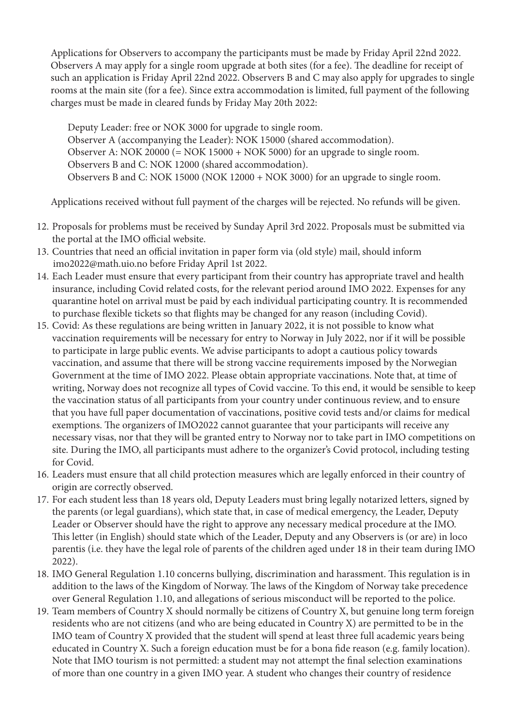Applications for Observers to accompany the participants must be made by Friday April 22nd 2022. Observers A may apply for a single room upgrade at both sites (for a fee). The deadline for receipt of such an application is Friday April 22nd 2022. Observers B and C may also apply for upgrades to single rooms at the main site (for a fee). Since extra accommodation is limited, full payment of the following charges must be made in cleared funds by Friday May 20th 2022:

Deputy Leader: free or NOK 3000 for upgrade to single room. Observer A (accompanying the Leader): NOK 15000 (shared accommodation). Observer A: NOK 20000 (= NOK 15000 + NOK 5000) for an upgrade to single room. Observers B and C: NOK 12000 (shared accommodation). Observers B and C: NOK 15000 (NOK 12000 + NOK 3000) for an upgrade to single room.

Applications received without full payment of the charges will be rejected. No refunds will be given.

- 12. Proposals for problems must be received by Sunday April 3rd 2022. Proposals must be submitted via the portal at the IMO official website.
- 13. Countries that need an official invitation in paper form via (old style) mail, should inform imo2022@math.uio.no before Friday April 1st 2022.
- 14. Each Leader must ensure that every participant from their country has appropriate travel and health insurance, including Covid related costs, for the relevant period around IMO 2022. Expenses for any quarantine hotel on arrival must be paid by each individual participating country. It is recommended to purchase flexible tickets so that flights may be changed for any reason (including Covid).
- 15. Covid: As these regulations are being written in January 2022, it is not possible to know what vaccination requirements will be necessary for entry to Norway in July 2022, nor if it will be possible to participate in large public events. We advise participants to adopt a cautious policy towards vaccination, and assume that there will be strong vaccine requirements imposed by the Norwegian Government at the time of IMO 2022. Please obtain appropriate vaccinations. Note that, at time of writing, Norway does not recognize all types of Covid vaccine. To this end, it would be sensible to keep the vaccination status of all participants from your country under continuous review, and to ensure that you have full paper documentation of vaccinations, positive covid tests and/or claims for medical exemptions. The organizers of IMO2022 cannot guarantee that your participants will receive any necessary visas, nor that they will be granted entry to Norway nor to take part in IMO competitions on site. During the IMO, all participants must adhere to the organizer's Covid protocol, including testing for Covid.
- 16. Leaders must ensure that all child protection measures which are legally enforced in their country of origin are correctly observed.
- 17. For each student less than 18 years old, Deputy Leaders must bring legally notarized letters, signed by the parents (or legal guardians), which state that, in case of medical emergency, the Leader, Deputy Leader or Observer should have the right to approve any necessary medical procedure at the IMO. This letter (in English) should state which of the Leader, Deputy and any Observers is (or are) in loco parentis (i.e. they have the legal role of parents of the children aged under 18 in their team during IMO 2022).
- 18. IMO General Regulation 1.10 concerns bullying, discrimination and harassment. This regulation is in addition to the laws of the Kingdom of Norway. The laws of the Kingdom of Norway take precedence over General Regulation 1.10, and allegations of serious misconduct will be reported to the police.
- 19. Team members of Country X should normally be citizens of Country X, but genuine long term foreign residents who are not citizens (and who are being educated in Country X) are permitted to be in the IMO team of Country X provided that the student will spend at least three full academic years being educated in Country X. Such a foreign education must be for a bona fide reason (e.g. family location). Note that IMO tourism is not permitted: a student may not attempt the final selection examinations of more than one country in a given IMO year. A student who changes their country of residence